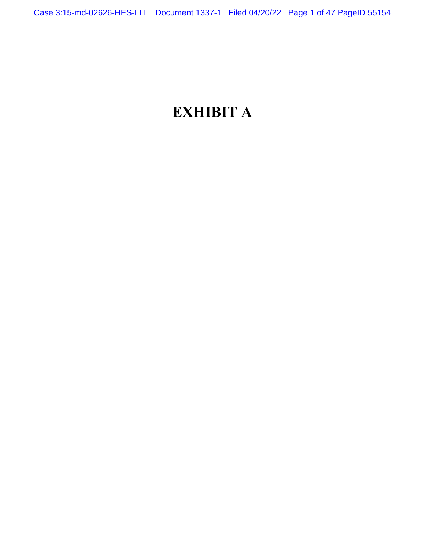# **EXHIBIT A**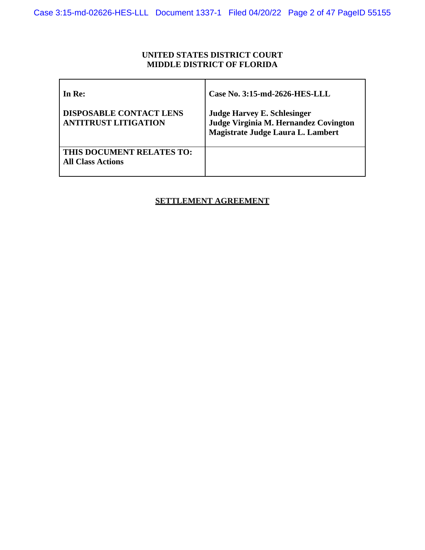# **UNITED STATES DISTRICT COURT MIDDLE DISTRICT OF FLORIDA**

| In Re:                                                        | Case No. 3:15-md-2626-HES-LLL                                                                                    |
|---------------------------------------------------------------|------------------------------------------------------------------------------------------------------------------|
| <b>DISPOSABLE CONTACT LENS</b><br><b>ANTITRUST LITIGATION</b> | <b>Judge Harvey E. Schlesinger</b><br>Judge Virginia M. Hernandez Covington<br>Magistrate Judge Laura L. Lambert |
| THIS DOCUMENT RELATES TO:<br><b>All Class Actions</b>         |                                                                                                                  |

# **SETTLEMENT AGREEMENT**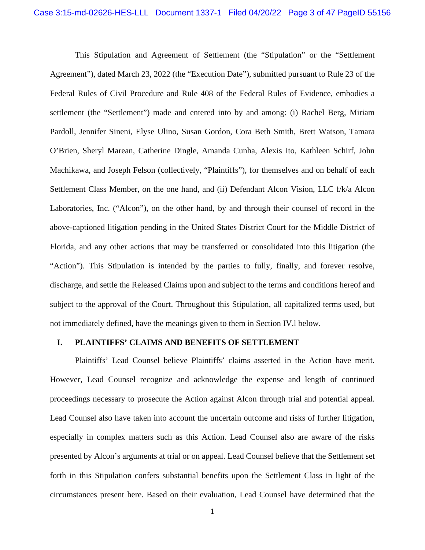This Stipulation and Agreement of Settlement (the "Stipulation" or the "Settlement Agreement"), dated March 23, 2022 (the "Execution Date"), submitted pursuant to Rule 23 of the Federal Rules of Civil Procedure and Rule 408 of the Federal Rules of Evidence, embodies a settlement (the "Settlement") made and entered into by and among: (i) Rachel Berg, Miriam Pardoll, Jennifer Sineni, Elyse Ulino, Susan Gordon, Cora Beth Smith, Brett Watson, Tamara O'Brien, Sheryl Marean, Catherine Dingle, Amanda Cunha, Alexis Ito, Kathleen Schirf, John Machikawa, and Joseph Felson (collectively, "Plaintiffs"), for themselves and on behalf of each Settlement Class Member, on the one hand, and (ii) Defendant Alcon Vision, LLC f/k/a Alcon Laboratories, Inc. ("Alcon"), on the other hand, by and through their counsel of record in the above-captioned litigation pending in the United States District Court for the Middle District of Florida, and any other actions that may be transferred or consolidated into this litigation (the "Action"). This Stipulation is intended by the parties to fully, finally, and forever resolve, discharge, and settle the Released Claims upon and subject to the terms and conditions hereof and subject to the approval of the Court. Throughout this Stipulation, all capitalized terms used, but not immediately defined, have the meanings given to them in Section IV.l below.

#### **I. PLAINTIFFS' CLAIMS AND BENEFITS OF SETTLEMENT**

Plaintiffs' Lead Counsel believe Plaintiffs' claims asserted in the Action have merit. However, Lead Counsel recognize and acknowledge the expense and length of continued proceedings necessary to prosecute the Action against Alcon through trial and potential appeal. Lead Counsel also have taken into account the uncertain outcome and risks of further litigation, especially in complex matters such as this Action. Lead Counsel also are aware of the risks presented by Alcon's arguments at trial or on appeal. Lead Counsel believe that the Settlement set forth in this Stipulation confers substantial benefits upon the Settlement Class in light of the circumstances present here. Based on their evaluation, Lead Counsel have determined that the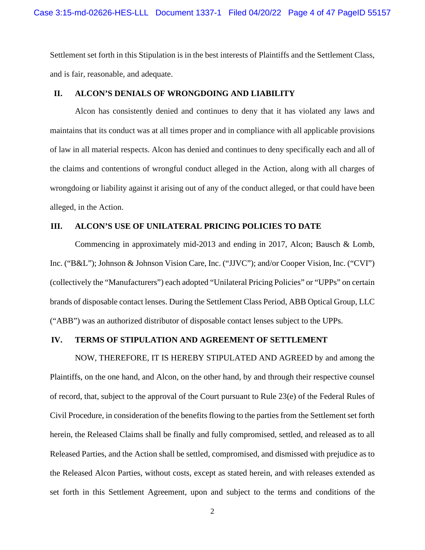Settlement set forth in this Stipulation is in the best interests of Plaintiffs and the Settlement Class, and is fair, reasonable, and adequate.

#### **II. ALCON'S DENIALS OF WRONGDOING AND LIABILITY**

Alcon has consistently denied and continues to deny that it has violated any laws and maintains that its conduct was at all times proper and in compliance with all applicable provisions of law in all material respects. Alcon has denied and continues to deny specifically each and all of the claims and contentions of wrongful conduct alleged in the Action, along with all charges of wrongdoing or liability against it arising out of any of the conduct alleged, or that could have been alleged, in the Action.

#### **III. ALCON'S USE OF UNILATERAL PRICING POLICIES TO DATE**

Commencing in approximately mid-2013 and ending in 2017, Alcon; Bausch & Lomb, Inc. ("B&L"); Johnson & Johnson Vision Care, Inc. ("JJVC"); and/or Cooper Vision, Inc. ("CVI") (collectively the "Manufacturers") each adopted "Unilateral Pricing Policies" or "UPPs" on certain brands of disposable contact lenses. During the Settlement Class Period, ABB Optical Group, LLC ("ABB") was an authorized distributor of disposable contact lenses subject to the UPPs.

#### **IV. TERMS OF STIPULATION AND AGREEMENT OF SETTLEMENT**

NOW, THEREFORE, IT IS HEREBY STIPULATED AND AGREED by and among the Plaintiffs, on the one hand, and Alcon, on the other hand, by and through their respective counsel of record, that, subject to the approval of the Court pursuant to Rule 23(e) of the Federal Rules of Civil Procedure, in consideration of the benefits flowing to the parties from the Settlement set forth herein, the Released Claims shall be finally and fully compromised, settled, and released as to all Released Parties, and the Action shall be settled, compromised, and dismissed with prejudice as to the Released Alcon Parties, without costs, except as stated herein, and with releases extended as set forth in this Settlement Agreement, upon and subject to the terms and conditions of the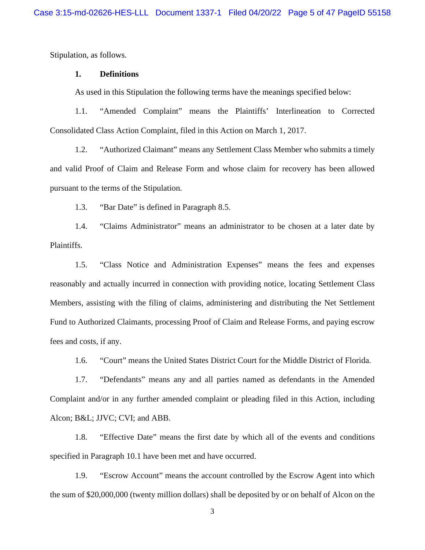Stipulation, as follows.

#### **1. Definitions**

As used in this Stipulation the following terms have the meanings specified below:

1.1. "Amended Complaint" means the Plaintiffs' Interlineation to Corrected Consolidated Class Action Complaint, filed in this Action on March 1, 2017.

1.2. "Authorized Claimant" means any Settlement Class Member who submits a timely and valid Proof of Claim and Release Form and whose claim for recovery has been allowed pursuant to the terms of the Stipulation.

1.3. "Bar Date" is defined in Paragraph 8.5.

1.4. "Claims Administrator" means an administrator to be chosen at a later date by Plaintiffs.

1.5. "Class Notice and Administration Expenses" means the fees and expenses reasonably and actually incurred in connection with providing notice, locating Settlement Class Members, assisting with the filing of claims, administering and distributing the Net Settlement Fund to Authorized Claimants, processing Proof of Claim and Release Forms, and paying escrow fees and costs, if any.

1.6. "Court" means the United States District Court for the Middle District of Florida.

1.7. "Defendants" means any and all parties named as defendants in the Amended Complaint and/or in any further amended complaint or pleading filed in this Action, including Alcon; B&L; JJVC; CVI; and ABB.

1.8. "Effective Date" means the first date by which all of the events and conditions specified in Paragraph 10.1 have been met and have occurred.

1.9. "Escrow Account" means the account controlled by the Escrow Agent into which the sum of \$20,000,000 (twenty million dollars) shall be deposited by or on behalf of Alcon on the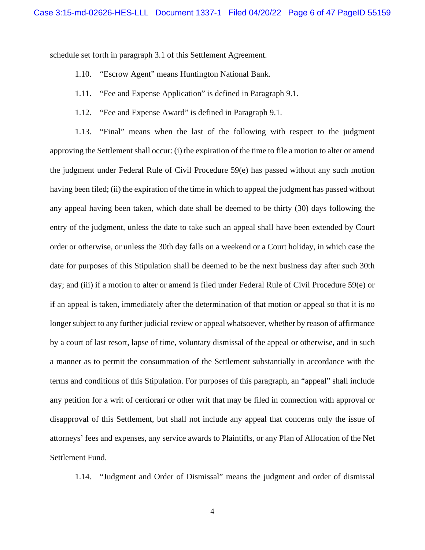schedule set forth in paragraph 3.1 of this Settlement Agreement.

- 1.10. "Escrow Agent" means Huntington National Bank.
- 1.11. "Fee and Expense Application" is defined in Paragraph 9.1.
- 1.12. "Fee and Expense Award" is defined in Paragraph 9.1.

1.13. "Final" means when the last of the following with respect to the judgment approving the Settlement shall occur: (i) the expiration of the time to file a motion to alter or amend the judgment under Federal Rule of Civil Procedure 59(e) has passed without any such motion having been filed; (ii) the expiration of the time in which to appeal the judgment has passed without any appeal having been taken, which date shall be deemed to be thirty (30) days following the entry of the judgment, unless the date to take such an appeal shall have been extended by Court order or otherwise, or unless the 30th day falls on a weekend or a Court holiday, in which case the date for purposes of this Stipulation shall be deemed to be the next business day after such 30th day; and (iii) if a motion to alter or amend is filed under Federal Rule of Civil Procedure 59(e) or if an appeal is taken, immediately after the determination of that motion or appeal so that it is no longer subject to any further judicial review or appeal whatsoever, whether by reason of affirmance by a court of last resort, lapse of time, voluntary dismissal of the appeal or otherwise, and in such a manner as to permit the consummation of the Settlement substantially in accordance with the terms and conditions of this Stipulation. For purposes of this paragraph, an "appeal" shall include any petition for a writ of certiorari or other writ that may be filed in connection with approval or disapproval of this Settlement, but shall not include any appeal that concerns only the issue of attorneys' fees and expenses, any service awards to Plaintiffs, or any Plan of Allocation of the Net Settlement Fund.

1.14. "Judgment and Order of Dismissal" means the judgment and order of dismissal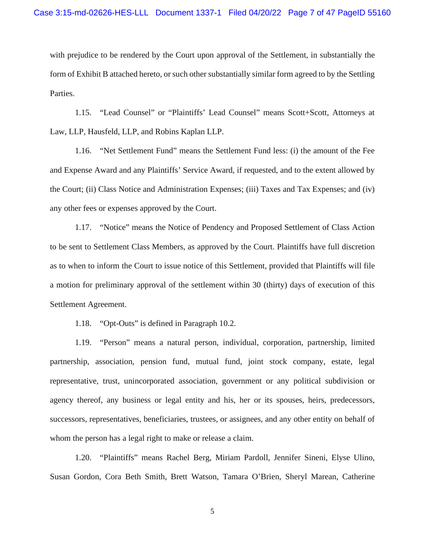with prejudice to be rendered by the Court upon approval of the Settlement, in substantially the form of Exhibit B attached hereto, or such other substantially similar form agreed to by the Settling Parties.

1.15. "Lead Counsel" or "Plaintiffs' Lead Counsel" means Scott+Scott, Attorneys at Law, LLP, Hausfeld, LLP, and Robins Kaplan LLP.

1.16. "Net Settlement Fund" means the Settlement Fund less: (i) the amount of the Fee and Expense Award and any Plaintiffs' Service Award, if requested, and to the extent allowed by the Court; (ii) Class Notice and Administration Expenses; (iii) Taxes and Tax Expenses; and (iv) any other fees or expenses approved by the Court.

1.17. "Notice" means the Notice of Pendency and Proposed Settlement of Class Action to be sent to Settlement Class Members, as approved by the Court. Plaintiffs have full discretion as to when to inform the Court to issue notice of this Settlement, provided that Plaintiffs will file a motion for preliminary approval of the settlement within 30 (thirty) days of execution of this Settlement Agreement.

1.18. "Opt-Outs" is defined in Paragraph 10.2.

1.19. "Person" means a natural person, individual, corporation, partnership, limited partnership, association, pension fund, mutual fund, joint stock company, estate, legal representative, trust, unincorporated association, government or any political subdivision or agency thereof, any business or legal entity and his, her or its spouses, heirs, predecessors, successors, representatives, beneficiaries, trustees, or assignees, and any other entity on behalf of whom the person has a legal right to make or release a claim.

1.20. "Plaintiffs" means Rachel Berg, Miriam Pardoll, Jennifer Sineni, Elyse Ulino, Susan Gordon, Cora Beth Smith, Brett Watson, Tamara O'Brien, Sheryl Marean, Catherine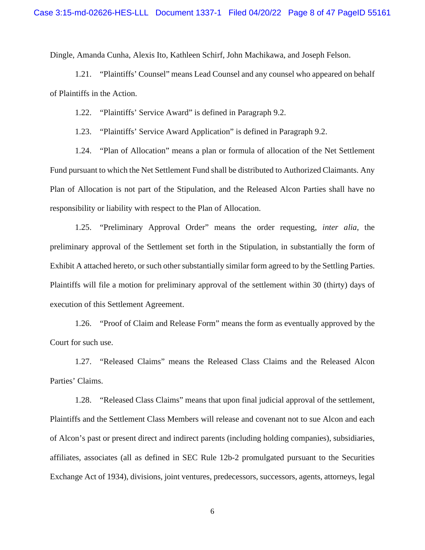Dingle, Amanda Cunha, Alexis Ito, Kathleen Schirf, John Machikawa, and Joseph Felson.

1.21. "Plaintiffs' Counsel" means Lead Counsel and any counsel who appeared on behalf of Plaintiffs in the Action.

1.22. "Plaintiffs' Service Award" is defined in Paragraph 9.2.

1.23. "Plaintiffs' Service Award Application" is defined in Paragraph 9.2.

1.24. "Plan of Allocation" means a plan or formula of allocation of the Net Settlement Fund pursuant to which the Net Settlement Fund shall be distributed to Authorized Claimants. Any Plan of Allocation is not part of the Stipulation, and the Released Alcon Parties shall have no responsibility or liability with respect to the Plan of Allocation.

1.25. "Preliminary Approval Order" means the order requesting, *inter alia*, the preliminary approval of the Settlement set forth in the Stipulation, in substantially the form of Exhibit A attached hereto, or such other substantially similar form agreed to by the Settling Parties. Plaintiffs will file a motion for preliminary approval of the settlement within 30 (thirty) days of execution of this Settlement Agreement.

1.26. "Proof of Claim and Release Form" means the form as eventually approved by the Court for such use.

1.27. "Released Claims" means the Released Class Claims and the Released Alcon Parties' Claims.

1.28. "Released Class Claims" means that upon final judicial approval of the settlement, Plaintiffs and the Settlement Class Members will release and covenant not to sue Alcon and each of Alcon's past or present direct and indirect parents (including holding companies), subsidiaries, affiliates, associates (all as defined in SEC Rule 12b-2 promulgated pursuant to the Securities Exchange Act of 1934), divisions, joint ventures, predecessors, successors, agents, attorneys, legal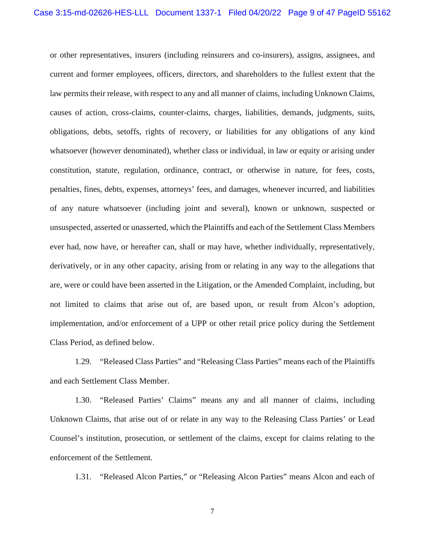or other representatives, insurers (including reinsurers and co-insurers), assigns, assignees, and current and former employees, officers, directors, and shareholders to the fullest extent that the law permits their release, with respect to any and all manner of claims, including Unknown Claims, causes of action, cross-claims, counter-claims, charges, liabilities, demands, judgments, suits, obligations, debts, setoffs, rights of recovery, or liabilities for any obligations of any kind whatsoever (however denominated), whether class or individual, in law or equity or arising under constitution, statute, regulation, ordinance, contract, or otherwise in nature, for fees, costs, penalties, fines, debts, expenses, attorneys' fees, and damages, whenever incurred, and liabilities of any nature whatsoever (including joint and several), known or unknown, suspected or unsuspected, asserted or unasserted, which the Plaintiffs and each of the Settlement Class Members ever had, now have, or hereafter can, shall or may have, whether individually, representatively, derivatively, or in any other capacity, arising from or relating in any way to the allegations that are, were or could have been asserted in the Litigation, or the Amended Complaint, including, but not limited to claims that arise out of, are based upon, or result from Alcon's adoption, implementation, and/or enforcement of a UPP or other retail price policy during the Settlement Class Period, as defined below.

1.29. "Released Class Parties" and "Releasing Class Parties" means each of the Plaintiffs and each Settlement Class Member.

1.30. "Released Parties' Claims" means any and all manner of claims, including Unknown Claims, that arise out of or relate in any way to the Releasing Class Parties' or Lead Counsel's institution, prosecution, or settlement of the claims, except for claims relating to the enforcement of the Settlement.

1.31. "Released Alcon Parties," or "Releasing Alcon Parties" means Alcon and each of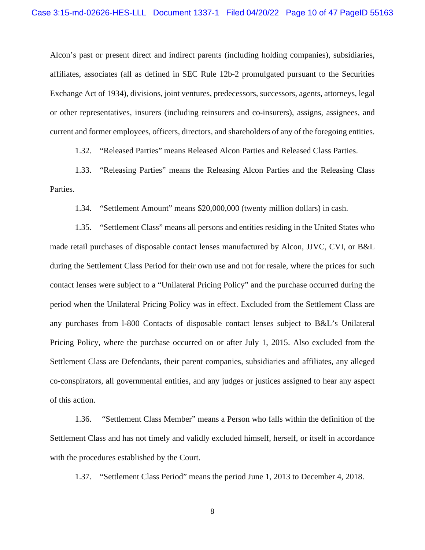Alcon's past or present direct and indirect parents (including holding companies), subsidiaries, affiliates, associates (all as defined in SEC Rule 12b-2 promulgated pursuant to the Securities Exchange Act of 1934), divisions, joint ventures, predecessors, successors, agents, attorneys, legal or other representatives, insurers (including reinsurers and co-insurers), assigns, assignees, and current and former employees, officers, directors, and shareholders of any of the foregoing entities.

1.32. "Released Parties" means Released Alcon Parties and Released Class Parties.

1.33. "Releasing Parties" means the Releasing Alcon Parties and the Releasing Class Parties.

1.34. "Settlement Amount" means \$20,000,000 (twenty million dollars) in cash.

1.35. "Settlement Class" means all persons and entities residing in the United States who made retail purchases of disposable contact lenses manufactured by Alcon, JJVC, CVI, or B&L during the Settlement Class Period for their own use and not for resale, where the prices for such contact lenses were subject to a "Unilateral Pricing Policy" and the purchase occurred during the period when the Unilateral Pricing Policy was in effect. Excluded from the Settlement Class are any purchases from l-800 Contacts of disposable contact lenses subject to B&L's Unilateral Pricing Policy, where the purchase occurred on or after July 1, 2015. Also excluded from the Settlement Class are Defendants, their parent companies, subsidiaries and affiliates, any alleged co-conspirators, all governmental entities, and any judges or justices assigned to hear any aspect of this action.

1.36. "Settlement Class Member" means a Person who falls within the definition of the Settlement Class and has not timely and validly excluded himself, herself, or itself in accordance with the procedures established by the Court.

1.37. "Settlement Class Period" means the period June 1, 2013 to December 4, 2018.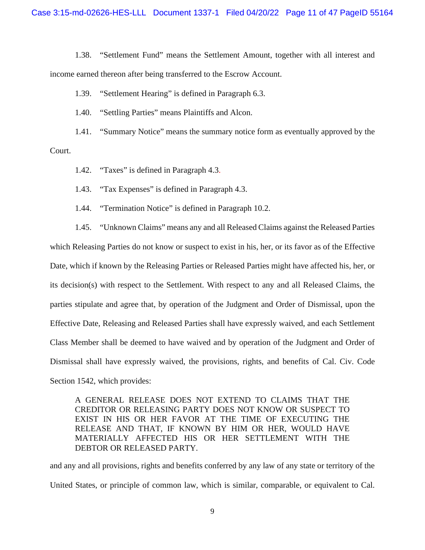1.38. "Settlement Fund" means the Settlement Amount, together with all interest and income earned thereon after being transferred to the Escrow Account.

1.39. "Settlement Hearing" is defined in Paragraph 6.3.

1.40. "Settling Parties" means Plaintiffs and Alcon.

1.41. "Summary Notice" means the summary notice form as eventually approved by the Court.

1.42. "Taxes" is defined in Paragraph 4.3.

1.43. "Tax Expenses" is defined in Paragraph 4.3.

1.44. "Termination Notice" is defined in Paragraph 10.2.

1.45. "Unknown Claims" means any and all Released Claims against the Released Parties which Releasing Parties do not know or suspect to exist in his, her, or its favor as of the Effective Date, which if known by the Releasing Parties or Released Parties might have affected his, her, or its decision(s) with respect to the Settlement. With respect to any and all Released Claims, the parties stipulate and agree that, by operation of the Judgment and Order of Dismissal, upon the Effective Date, Releasing and Released Parties shall have expressly waived, and each Settlement Class Member shall be deemed to have waived and by operation of the Judgment and Order of Dismissal shall have expressly waived, the provisions, rights, and benefits of Cal. Civ. Code Section 1542, which provides:

A GENERAL RELEASE DOES NOT EXTEND TO CLAIMS THAT THE CREDITOR OR RELEASING PARTY DOES NOT KNOW OR SUSPECT TO EXIST IN HIS OR HER FAVOR AT THE TIME OF EXECUTING THE RELEASE AND THAT, IF KNOWN BY HIM OR HER, WOULD HAVE MATERIALLY AFFECTED HIS OR HER SETTLEMENT WITH THE DEBTOR OR RELEASED PARTY.

and any and all provisions, rights and benefits conferred by any law of any state or territory of the United States, or principle of common law, which is similar, comparable, or equivalent to Cal.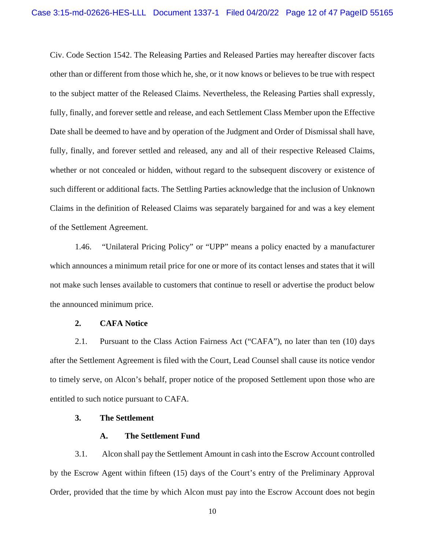Civ. Code Section 1542. The Releasing Parties and Released Parties may hereafter discover facts other than or different from those which he, she, or it now knows or believes to be true with respect to the subject matter of the Released Claims. Nevertheless, the Releasing Parties shall expressly, fully, finally, and forever settle and release, and each Settlement Class Member upon the Effective Date shall be deemed to have and by operation of the Judgment and Order of Dismissal shall have, fully, finally, and forever settled and released, any and all of their respective Released Claims, whether or not concealed or hidden, without regard to the subsequent discovery or existence of such different or additional facts. The Settling Parties acknowledge that the inclusion of Unknown Claims in the definition of Released Claims was separately bargained for and was a key element of the Settlement Agreement.

1.46. "Unilateral Pricing Policy" or "UPP" means a policy enacted by a manufacturer which announces a minimum retail price for one or more of its contact lenses and states that it will not make such lenses available to customers that continue to resell or advertise the product below the announced minimum price.

#### **2. CAFA Notice**

2.1. Pursuant to the Class Action Fairness Act ("CAFA"), no later than ten (10) days after the Settlement Agreement is filed with the Court, Lead Counsel shall cause its notice vendor to timely serve, on Alcon's behalf, proper notice of the proposed Settlement upon those who are entitled to such notice pursuant to CAFA.

#### **3. The Settlement**

#### **A. The Settlement Fund**

3.1. Alcon shall pay the Settlement Amount in cash into the Escrow Account controlled by the Escrow Agent within fifteen (15) days of the Court's entry of the Preliminary Approval Order, provided that the time by which Alcon must pay into the Escrow Account does not begin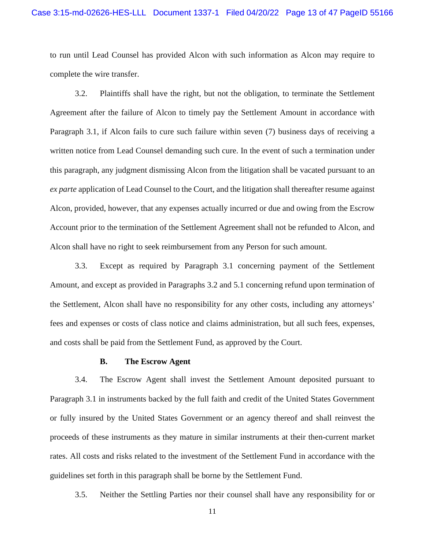to run until Lead Counsel has provided Alcon with such information as Alcon may require to complete the wire transfer.

3.2. Plaintiffs shall have the right, but not the obligation, to terminate the Settlement Agreement after the failure of Alcon to timely pay the Settlement Amount in accordance with Paragraph 3.1, if Alcon fails to cure such failure within seven (7) business days of receiving a written notice from Lead Counsel demanding such cure. In the event of such a termination under this paragraph, any judgment dismissing Alcon from the litigation shall be vacated pursuant to an *ex parte* application of Lead Counsel to the Court, and the litigation shall thereafter resume against Alcon, provided, however, that any expenses actually incurred or due and owing from the Escrow Account prior to the termination of the Settlement Agreement shall not be refunded to Alcon, and Alcon shall have no right to seek reimbursement from any Person for such amount.

3.3. Except as required by Paragraph 3.1 concerning payment of the Settlement Amount, and except as provided in Paragraphs 3.2 and 5.1 concerning refund upon termination of the Settlement, Alcon shall have no responsibility for any other costs, including any attorneys' fees and expenses or costs of class notice and claims administration, but all such fees, expenses, and costs shall be paid from the Settlement Fund, as approved by the Court.

#### **B. The Escrow Agent**

3.4. The Escrow Agent shall invest the Settlement Amount deposited pursuant to Paragraph 3.1 in instruments backed by the full faith and credit of the United States Government or fully insured by the United States Government or an agency thereof and shall reinvest the proceeds of these instruments as they mature in similar instruments at their then-current market rates. All costs and risks related to the investment of the Settlement Fund in accordance with the guidelines set forth in this paragraph shall be borne by the Settlement Fund.

3.5. Neither the Settling Parties nor their counsel shall have any responsibility for or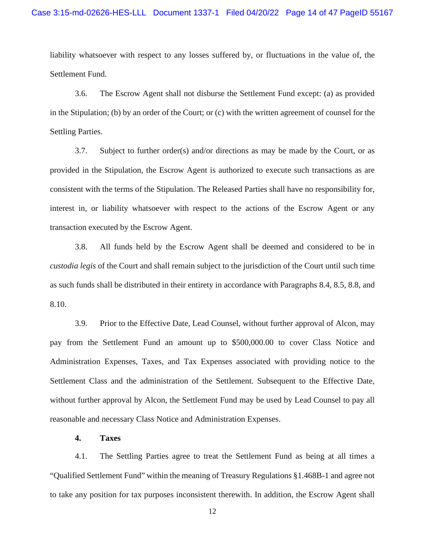liability whatsoever with respect to any losses suffered by, or fluctuations in the value of, the Settlement Fund.

3.6. The Escrow Agent shall not disburse the Settlement Fund except: (a) as provided in the Stipulation; (b) by an order of the Court; or (c) with the written agreement of counsel for the Settling Parties.

3.7. Subject to further order(s) and/or directions as may be made by the Court, or as provided in the Stipulation, the Escrow Agent is authorized to execute such transactions as are consistent with the terms of the Stipulation. The Released Parties shall have no responsibility for, interest in, or liability whatsoever with respect to the actions of the Escrow Agent or any transaction executed by the Escrow Agent.

3.8. All funds held by the Escrow Agent shall be deemed and considered to be in *custodia legis* of the Court and shall remain subject to the jurisdiction of the Court until such time as such funds shall be distributed in their entirety in accordance with Paragraphs 8.4, 8.5, 8.8, and 8.10.

3.9. Prior to the Effective Date, Lead Counsel, without further approval of Alcon, may pay from the Settlement Fund an amount up to \$500,000.00 to cover Class Notice and Administration Expenses, Taxes, and Tax Expenses associated with providing notice to the Settlement Class and the administration of the Settlement. Subsequent to the Effective Date, without further approval by Alcon, the Settlement Fund may be used by Lead Counsel to pay all reasonable and necessary Class Notice and Administration Expenses.

#### **4. Taxes**

4.1. The Settling Parties agree to treat the Settlement Fund as being at all times a "Qualified Settlement Fund" within the meaning of Treasury Regulations §1.468B-1 and agree not to take any position for tax purposes inconsistent therewith. In addition, the Escrow Agent shall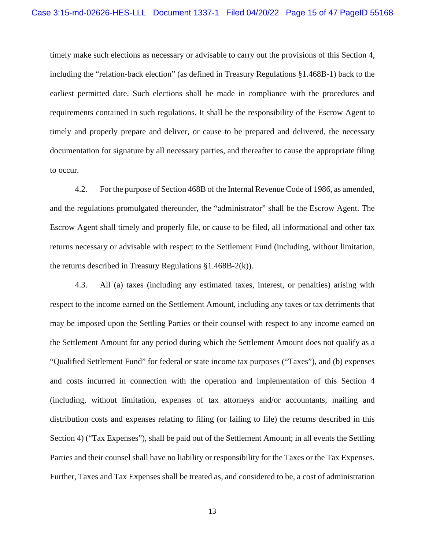timely make such elections as necessary or advisable to carry out the provisions of this Section 4, including the "relation-back election" (as defined in Treasury Regulations §1.468B-1) back to the earliest permitted date. Such elections shall be made in compliance with the procedures and requirements contained in such regulations. It shall be the responsibility of the Escrow Agent to timely and properly prepare and deliver, or cause to be prepared and delivered, the necessary documentation for signature by all necessary parties, and thereafter to cause the appropriate filing to occur.

4.2. For the purpose of Section 468B of the Internal Revenue Code of 1986, as amended, and the regulations promulgated thereunder, the "administrator" shall be the Escrow Agent. The Escrow Agent shall timely and properly file, or cause to be filed, all informational and other tax returns necessary or advisable with respect to the Settlement Fund (including, without limitation, the returns described in Treasury Regulations §1.468B-2(k)).

4.3. All (a) taxes (including any estimated taxes, interest, or penalties) arising with respect to the income earned on the Settlement Amount, including any taxes or tax detriments that may be imposed upon the Settling Parties or their counsel with respect to any income earned on the Settlement Amount for any period during which the Settlement Amount does not qualify as a "Qualified Settlement Fund" for federal or state income tax purposes ("Taxes"), and (b) expenses and costs incurred in connection with the operation and implementation of this Section 4 (including, without limitation, expenses of tax attorneys and/or accountants, mailing and distribution costs and expenses relating to filing (or failing to file) the returns described in this Section 4) ("Tax Expenses"), shall be paid out of the Settlement Amount; in all events the Settling Parties and their counsel shall have no liability or responsibility for the Taxes or the Tax Expenses. Further, Taxes and Tax Expenses shall be treated as, and considered to be, a cost of administration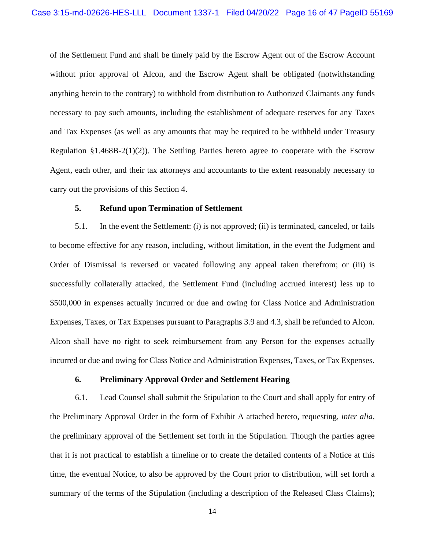of the Settlement Fund and shall be timely paid by the Escrow Agent out of the Escrow Account without prior approval of Alcon, and the Escrow Agent shall be obligated (notwithstanding anything herein to the contrary) to withhold from distribution to Authorized Claimants any funds necessary to pay such amounts, including the establishment of adequate reserves for any Taxes and Tax Expenses (as well as any amounts that may be required to be withheld under Treasury Regulation §1.468B-2(1)(2)). The Settling Parties hereto agree to cooperate with the Escrow Agent, each other, and their tax attorneys and accountants to the extent reasonably necessary to carry out the provisions of this Section 4.

#### **5. Refund upon Termination of Settlement**

5.1. In the event the Settlement: (i) is not approved; (ii) is terminated, canceled, or fails to become effective for any reason, including, without limitation, in the event the Judgment and Order of Dismissal is reversed or vacated following any appeal taken therefrom; or (iii) is successfully collaterally attacked, the Settlement Fund (including accrued interest) less up to \$500,000 in expenses actually incurred or due and owing for Class Notice and Administration Expenses, Taxes, or Tax Expenses pursuant to Paragraphs 3.9 and 4.3, shall be refunded to Alcon. Alcon shall have no right to seek reimbursement from any Person for the expenses actually incurred or due and owing for Class Notice and Administration Expenses, Taxes, or Tax Expenses.

#### **6. Preliminary Approval Order and Settlement Hearing**

6.1. Lead Counsel shall submit the Stipulation to the Court and shall apply for entry of the Preliminary Approval Order in the form of Exhibit A attached hereto, requesting, *inter alia*, the preliminary approval of the Settlement set forth in the Stipulation. Though the parties agree that it is not practical to establish a timeline or to create the detailed contents of a Notice at this time, the eventual Notice, to also be approved by the Court prior to distribution, will set forth a summary of the terms of the Stipulation (including a description of the Released Class Claims);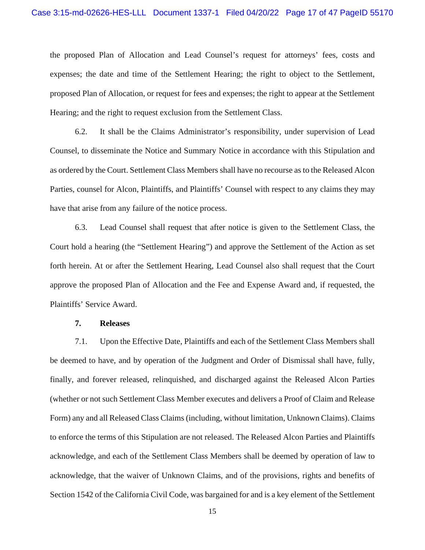the proposed Plan of Allocation and Lead Counsel's request for attorneys' fees, costs and expenses; the date and time of the Settlement Hearing; the right to object to the Settlement, proposed Plan of Allocation, or request for fees and expenses; the right to appear at the Settlement Hearing; and the right to request exclusion from the Settlement Class.

6.2. It shall be the Claims Administrator's responsibility, under supervision of Lead Counsel, to disseminate the Notice and Summary Notice in accordance with this Stipulation and as ordered by the Court. Settlement Class Members shall have no recourse as to the Released Alcon Parties, counsel for Alcon, Plaintiffs, and Plaintiffs' Counsel with respect to any claims they may have that arise from any failure of the notice process.

6.3. Lead Counsel shall request that after notice is given to the Settlement Class, the Court hold a hearing (the "Settlement Hearing") and approve the Settlement of the Action as set forth herein. At or after the Settlement Hearing, Lead Counsel also shall request that the Court approve the proposed Plan of Allocation and the Fee and Expense Award and, if requested, the Plaintiffs' Service Award.

#### **7. Releases**

7.1. Upon the Effective Date, Plaintiffs and each of the Settlement Class Members shall be deemed to have, and by operation of the Judgment and Order of Dismissal shall have, fully, finally, and forever released, relinquished, and discharged against the Released Alcon Parties (whether or not such Settlement Class Member executes and delivers a Proof of Claim and Release Form) any and all Released Class Claims (including, without limitation, Unknown Claims). Claims to enforce the terms of this Stipulation are not released. The Released Alcon Parties and Plaintiffs acknowledge, and each of the Settlement Class Members shall be deemed by operation of law to acknowledge, that the waiver of Unknown Claims, and of the provisions, rights and benefits of Section 1542 of the California Civil Code, was bargained for and is a key element of the Settlement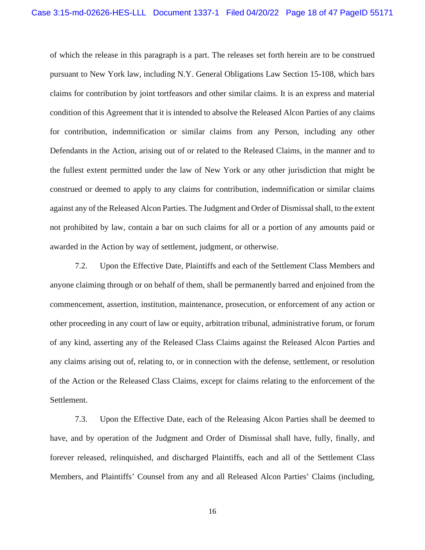of which the release in this paragraph is a part. The releases set forth herein are to be construed pursuant to New York law, including N.Y. General Obligations Law Section 15-108, which bars claims for contribution by joint tortfeasors and other similar claims. It is an express and material condition of this Agreement that it is intended to absolve the Released Alcon Parties of any claims for contribution, indemnification or similar claims from any Person, including any other Defendants in the Action, arising out of or related to the Released Claims, in the manner and to the fullest extent permitted under the law of New York or any other jurisdiction that might be construed or deemed to apply to any claims for contribution, indemnification or similar claims against any of the Released Alcon Parties. The Judgment and Order of Dismissal shall, to the extent not prohibited by law, contain a bar on such claims for all or a portion of any amounts paid or awarded in the Action by way of settlement, judgment, or otherwise.

7.2. Upon the Effective Date, Plaintiffs and each of the Settlement Class Members and anyone claiming through or on behalf of them, shall be permanently barred and enjoined from the commencement, assertion, institution, maintenance, prosecution, or enforcement of any action or other proceeding in any court of law or equity, arbitration tribunal, administrative forum, or forum of any kind, asserting any of the Released Class Claims against the Released Alcon Parties and any claims arising out of, relating to, or in connection with the defense, settlement, or resolution of the Action or the Released Class Claims, except for claims relating to the enforcement of the Settlement.

7.3. Upon the Effective Date, each of the Releasing Alcon Parties shall be deemed to have, and by operation of the Judgment and Order of Dismissal shall have, fully, finally, and forever released, relinquished, and discharged Plaintiffs, each and all of the Settlement Class Members, and Plaintiffs' Counsel from any and all Released Alcon Parties' Claims (including,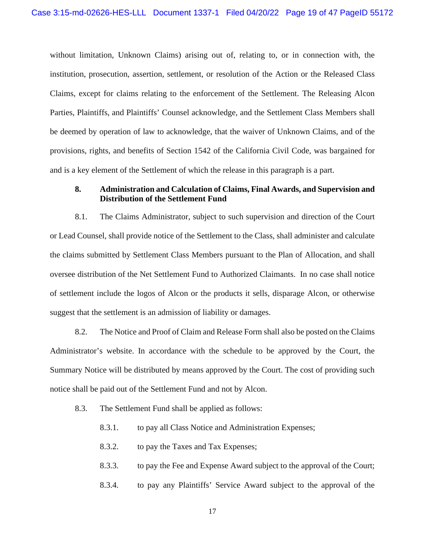without limitation, Unknown Claims) arising out of, relating to, or in connection with, the institution, prosecution, assertion, settlement, or resolution of the Action or the Released Class Claims, except for claims relating to the enforcement of the Settlement. The Releasing Alcon Parties, Plaintiffs, and Plaintiffs' Counsel acknowledge, and the Settlement Class Members shall be deemed by operation of law to acknowledge, that the waiver of Unknown Claims, and of the provisions, rights, and benefits of Section 1542 of the California Civil Code, was bargained for and is a key element of the Settlement of which the release in this paragraph is a part.

#### **8. Administration and Calculation of Claims, Final Awards, and Supervision and Distribution of the Settlement Fund**

8.1. The Claims Administrator, subject to such supervision and direction of the Court or Lead Counsel, shall provide notice of the Settlement to the Class, shall administer and calculate the claims submitted by Settlement Class Members pursuant to the Plan of Allocation, and shall oversee distribution of the Net Settlement Fund to Authorized Claimants. In no case shall notice of settlement include the logos of Alcon or the products it sells, disparage Alcon, or otherwise suggest that the settlement is an admission of liability or damages.

8.2. The Notice and Proof of Claim and Release Form shall also be posted on the Claims Administrator's website. In accordance with the schedule to be approved by the Court, the Summary Notice will be distributed by means approved by the Court. The cost of providing such notice shall be paid out of the Settlement Fund and not by Alcon.

- 8.3. The Settlement Fund shall be applied as follows:
	- 8.3.1. to pay all Class Notice and Administration Expenses;
	- 8.3.2. to pay the Taxes and Tax Expenses;
	- 8.3.3. to pay the Fee and Expense Award subject to the approval of the Court;
	- 8.3.4. to pay any Plaintiffs' Service Award subject to the approval of the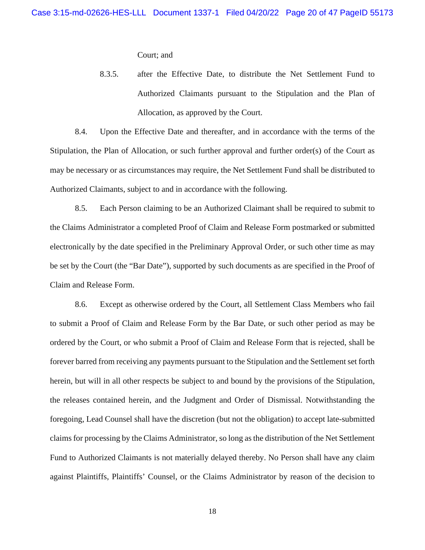Court; and

8.3.5. after the Effective Date, to distribute the Net Settlement Fund to Authorized Claimants pursuant to the Stipulation and the Plan of Allocation, as approved by the Court.

8.4. Upon the Effective Date and thereafter, and in accordance with the terms of the Stipulation, the Plan of Allocation, or such further approval and further order(s) of the Court as may be necessary or as circumstances may require, the Net Settlement Fund shall be distributed to Authorized Claimants, subject to and in accordance with the following.

8.5. Each Person claiming to be an Authorized Claimant shall be required to submit to the Claims Administrator a completed Proof of Claim and Release Form postmarked or submitted electronically by the date specified in the Preliminary Approval Order, or such other time as may be set by the Court (the "Bar Date"), supported by such documents as are specified in the Proof of Claim and Release Form.

8.6. Except as otherwise ordered by the Court, all Settlement Class Members who fail to submit a Proof of Claim and Release Form by the Bar Date, or such other period as may be ordered by the Court, or who submit a Proof of Claim and Release Form that is rejected, shall be forever barred from receiving any payments pursuant to the Stipulation and the Settlement set forth herein, but will in all other respects be subject to and bound by the provisions of the Stipulation, the releases contained herein, and the Judgment and Order of Dismissal. Notwithstanding the foregoing, Lead Counsel shall have the discretion (but not the obligation) to accept late-submitted claims for processing by the Claims Administrator, so long as the distribution of the Net Settlement Fund to Authorized Claimants is not materially delayed thereby. No Person shall have any claim against Plaintiffs, Plaintiffs' Counsel, or the Claims Administrator by reason of the decision to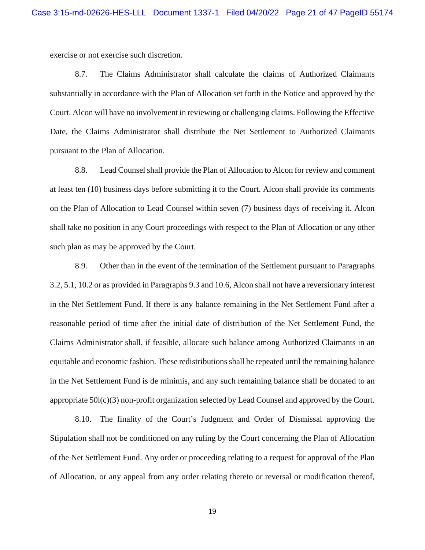exercise or not exercise such discretion.

8.7. The Claims Administrator shall calculate the claims of Authorized Claimants substantially in accordance with the Plan of Allocation set forth in the Notice and approved by the Court. Alcon will have no involvement in reviewing or challenging claims. Following the Effective Date, the Claims Administrator shall distribute the Net Settlement to Authorized Claimants pursuant to the Plan of Allocation.

8.8. Lead Counsel shall provide the Plan of Allocation to Alcon for review and comment at least ten (10) business days before submitting it to the Court. Alcon shall provide its comments on the Plan of Allocation to Lead Counsel within seven (7) business days of receiving it. Alcon shall take no position in any Court proceedings with respect to the Plan of Allocation or any other such plan as may be approved by the Court.

8.9. Other than in the event of the termination of the Settlement pursuant to Paragraphs 3.2, 5.1, 10.2 or as provided in Paragraphs 9.3 and 10.6, Alcon shall not have a reversionary interest in the Net Settlement Fund. If there is any balance remaining in the Net Settlement Fund after a reasonable period of time after the initial date of distribution of the Net Settlement Fund, the Claims Administrator shall, if feasible, allocate such balance among Authorized Claimants in an equitable and economic fashion. These redistributions shall be repeated until the remaining balance in the Net Settlement Fund is de minimis, and any such remaining balance shall be donated to an appropriate  $50I(c)(3)$  non-profit organization selected by Lead Counsel and approved by the Court.

8.10. The finality of the Court's Judgment and Order of Dismissal approving the Stipulation shall not be conditioned on any ruling by the Court concerning the Plan of Allocation of the Net Settlement Fund. Any order or proceeding relating to a request for approval of the Plan of Allocation, or any appeal from any order relating thereto or reversal or modification thereof,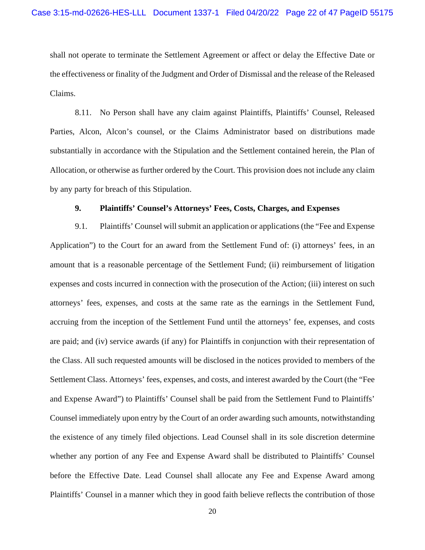shall not operate to terminate the Settlement Agreement or affect or delay the Effective Date or the effectiveness or finality of the Judgment and Order of Dismissal and the release of the Released Claims.

8.11. No Person shall have any claim against Plaintiffs, Plaintiffs' Counsel, Released Parties, Alcon, Alcon's counsel, or the Claims Administrator based on distributions made substantially in accordance with the Stipulation and the Settlement contained herein, the Plan of Allocation, or otherwise as further ordered by the Court. This provision does not include any claim by any party for breach of this Stipulation.

#### **9. Plaintiffs' Counsel's Attorneys' Fees, Costs, Charges, and Expenses**

9.1. Plaintiffs' Counsel will submit an application or applications (the "Fee and Expense Application") to the Court for an award from the Settlement Fund of: (i) attorneys' fees, in an amount that is a reasonable percentage of the Settlement Fund; (ii) reimbursement of litigation expenses and costs incurred in connection with the prosecution of the Action; (iii) interest on such attorneys' fees, expenses, and costs at the same rate as the earnings in the Settlement Fund, accruing from the inception of the Settlement Fund until the attorneys' fee, expenses, and costs are paid; and (iv) service awards (if any) for Plaintiffs in conjunction with their representation of the Class. All such requested amounts will be disclosed in the notices provided to members of the Settlement Class. Attorneys' fees, expenses, and costs, and interest awarded by the Court (the "Fee and Expense Award") to Plaintiffs' Counsel shall be paid from the Settlement Fund to Plaintiffs' Counsel immediately upon entry by the Court of an order awarding such amounts, notwithstanding the existence of any timely filed objections. Lead Counsel shall in its sole discretion determine whether any portion of any Fee and Expense Award shall be distributed to Plaintiffs' Counsel before the Effective Date. Lead Counsel shall allocate any Fee and Expense Award among Plaintiffs' Counsel in a manner which they in good faith believe reflects the contribution of those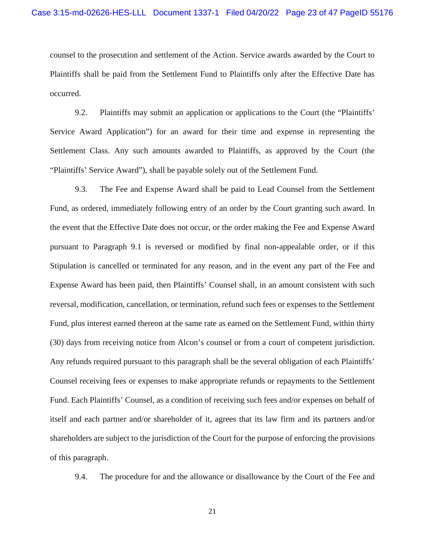counsel to the prosecution and settlement of the Action. Service awards awarded by the Court to Plaintiffs shall be paid from the Settlement Fund to Plaintiffs only after the Effective Date has occurred.

9.2. Plaintiffs may submit an application or applications to the Court (the "Plaintiffs' Service Award Application") for an award for their time and expense in representing the Settlement Class. Any such amounts awarded to Plaintiffs, as approved by the Court (the "Plaintiffs' Service Award"), shall be payable solely out of the Settlement Fund.

9.3. The Fee and Expense Award shall be paid to Lead Counsel from the Settlement Fund, as ordered, immediately following entry of an order by the Court granting such award. In the event that the Effective Date does not occur, or the order making the Fee and Expense Award pursuant to Paragraph 9.1 is reversed or modified by final non-appealable order, or if this Stipulation is cancelled or terminated for any reason, and in the event any part of the Fee and Expense Award has been paid, then Plaintiffs' Counsel shall, in an amount consistent with such reversal, modification, cancellation, or termination, refund such fees or expenses to the Settlement Fund, plus interest earned thereon at the same rate as earned on the Settlement Fund, within thirty (30) days from receiving notice from Alcon's counsel or from a court of competent jurisdiction. Any refunds required pursuant to this paragraph shall be the several obligation of each Plaintiffs' Counsel receiving fees or expenses to make appropriate refunds or repayments to the Settlement Fund. Each Plaintiffs' Counsel, as a condition of receiving such fees and/or expenses on behalf of itself and each partner and/or shareholder of it, agrees that its law firm and its partners and/or shareholders are subject to the jurisdiction of the Court for the purpose of enforcing the provisions of this paragraph.

9.4. The procedure for and the allowance or disallowance by the Court of the Fee and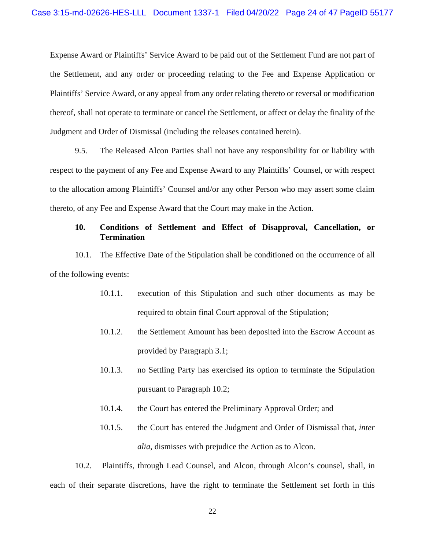Expense Award or Plaintiffs' Service Award to be paid out of the Settlement Fund are not part of the Settlement, and any order or proceeding relating to the Fee and Expense Application or Plaintiffs' Service Award, or any appeal from any order relating thereto or reversal or modification thereof, shall not operate to terminate or cancel the Settlement, or affect or delay the finality of the Judgment and Order of Dismissal (including the releases contained herein).

9.5. The Released Alcon Parties shall not have any responsibility for or liability with respect to the payment of any Fee and Expense Award to any Plaintiffs' Counsel, or with respect to the allocation among Plaintiffs' Counsel and/or any other Person who may assert some claim thereto, of any Fee and Expense Award that the Court may make in the Action.

#### **10. Conditions of Settlement and Effect of Disapproval, Cancellation, or Termination**

10.1. The Effective Date of the Stipulation shall be conditioned on the occurrence of all of the following events:

- 10.1.1. execution of this Stipulation and such other documents as may be required to obtain final Court approval of the Stipulation;
- 10.1.2. the Settlement Amount has been deposited into the Escrow Account as provided by Paragraph 3.1;
- 10.1.3. no Settling Party has exercised its option to terminate the Stipulation pursuant to Paragraph 10.2;
- 10.1.4. the Court has entered the Preliminary Approval Order; and
- 10.1.5. the Court has entered the Judgment and Order of Dismissal that, *inter alia*, dismisses with prejudice the Action as to Alcon.

10.2. Plaintiffs, through Lead Counsel, and Alcon, through Alcon's counsel, shall, in each of their separate discretions, have the right to terminate the Settlement set forth in this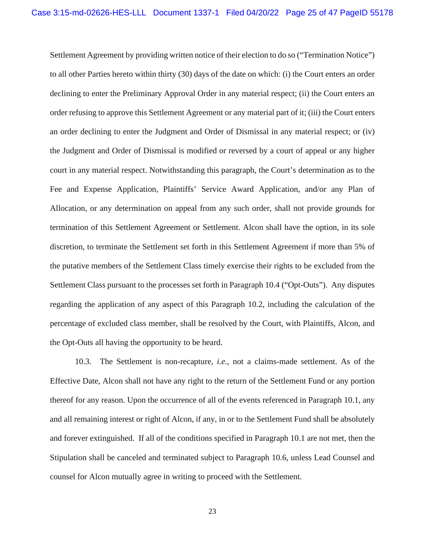Settlement Agreement by providing written notice of their election to do so ("Termination Notice") to all other Parties hereto within thirty (30) days of the date on which: (i) the Court enters an order declining to enter the Preliminary Approval Order in any material respect; (ii) the Court enters an order refusing to approve this Settlement Agreement or any material part of it; (iii) the Court enters an order declining to enter the Judgment and Order of Dismissal in any material respect; or (iv) the Judgment and Order of Dismissal is modified or reversed by a court of appeal or any higher court in any material respect. Notwithstanding this paragraph, the Court's determination as to the Fee and Expense Application, Plaintiffs' Service Award Application, and/or any Plan of Allocation, or any determination on appeal from any such order, shall not provide grounds for termination of this Settlement Agreement or Settlement. Alcon shall have the option, in its sole discretion, to terminate the Settlement set forth in this Settlement Agreement if more than 5% of the putative members of the Settlement Class timely exercise their rights to be excluded from the Settlement Class pursuant to the processes set forth in Paragraph 10.4 ("Opt-Outs"). Any disputes regarding the application of any aspect of this Paragraph 10.2, including the calculation of the percentage of excluded class member, shall be resolved by the Court, with Plaintiffs, Alcon, and the Opt-Outs all having the opportunity to be heard.

10.3. The Settlement is non-recapture, *i.e.*, not a claims-made settlement. As of the Effective Date, Alcon shall not have any right to the return of the Settlement Fund or any portion thereof for any reason. Upon the occurrence of all of the events referenced in Paragraph 10.1, any and all remaining interest or right of Alcon, if any, in or to the Settlement Fund shall be absolutely and forever extinguished. If all of the conditions specified in Paragraph 10.1 are not met, then the Stipulation shall be canceled and terminated subject to Paragraph 10.6, unless Lead Counsel and counsel for Alcon mutually agree in writing to proceed with the Settlement.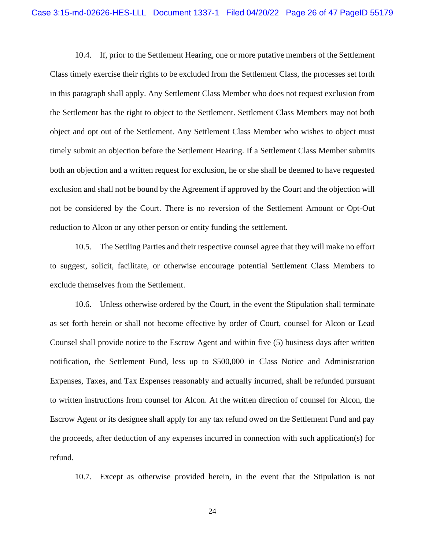10.4. If, prior to the Settlement Hearing, one or more putative members of the Settlement Class timely exercise their rights to be excluded from the Settlement Class, the processes set forth in this paragraph shall apply. Any Settlement Class Member who does not request exclusion from the Settlement has the right to object to the Settlement. Settlement Class Members may not both object and opt out of the Settlement. Any Settlement Class Member who wishes to object must timely submit an objection before the Settlement Hearing. If a Settlement Class Member submits both an objection and a written request for exclusion, he or she shall be deemed to have requested exclusion and shall not be bound by the Agreement if approved by the Court and the objection will not be considered by the Court. There is no reversion of the Settlement Amount or Opt-Out reduction to Alcon or any other person or entity funding the settlement.

10.5. The Settling Parties and their respective counsel agree that they will make no effort to suggest, solicit, facilitate, or otherwise encourage potential Settlement Class Members to exclude themselves from the Settlement.

10.6. Unless otherwise ordered by the Court, in the event the Stipulation shall terminate as set forth herein or shall not become effective by order of Court, counsel for Alcon or Lead Counsel shall provide notice to the Escrow Agent and within five (5) business days after written notification, the Settlement Fund, less up to \$500,000 in Class Notice and Administration Expenses, Taxes, and Tax Expenses reasonably and actually incurred, shall be refunded pursuant to written instructions from counsel for Alcon. At the written direction of counsel for Alcon, the Escrow Agent or its designee shall apply for any tax refund owed on the Settlement Fund and pay the proceeds, after deduction of any expenses incurred in connection with such application(s) for refund.

10.7. Except as otherwise provided herein, in the event that the Stipulation is not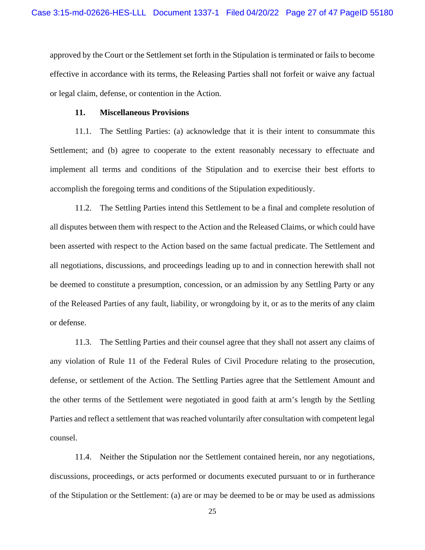approved by the Court or the Settlement set forth in the Stipulation is terminated or fails to become effective in accordance with its terms, the Releasing Parties shall not forfeit or waive any factual or legal claim, defense, or contention in the Action.

#### **11. Miscellaneous Provisions**

11.1. The Settling Parties: (a) acknowledge that it is their intent to consummate this Settlement; and (b) agree to cooperate to the extent reasonably necessary to effectuate and implement all terms and conditions of the Stipulation and to exercise their best efforts to accomplish the foregoing terms and conditions of the Stipulation expeditiously.

11.2. The Settling Parties intend this Settlement to be a final and complete resolution of all disputes between them with respect to the Action and the Released Claims, or which could have been asserted with respect to the Action based on the same factual predicate. The Settlement and all negotiations, discussions, and proceedings leading up to and in connection herewith shall not be deemed to constitute a presumption, concession, or an admission by any Settling Party or any of the Released Parties of any fault, liability, or wrongdoing by it, or as to the merits of any claim or defense.

11.3. The Settling Parties and their counsel agree that they shall not assert any claims of any violation of Rule 11 of the Federal Rules of Civil Procedure relating to the prosecution, defense, or settlement of the Action. The Settling Parties agree that the Settlement Amount and the other terms of the Settlement were negotiated in good faith at arm's length by the Settling Parties and reflect a settlement that was reached voluntarily after consultation with competent legal counsel.

11.4. Neither the Stipulation nor the Settlement contained herein, nor any negotiations, discussions, proceedings, or acts performed or documents executed pursuant to or in furtherance of the Stipulation or the Settlement: (a) are or may be deemed to be or may be used as admissions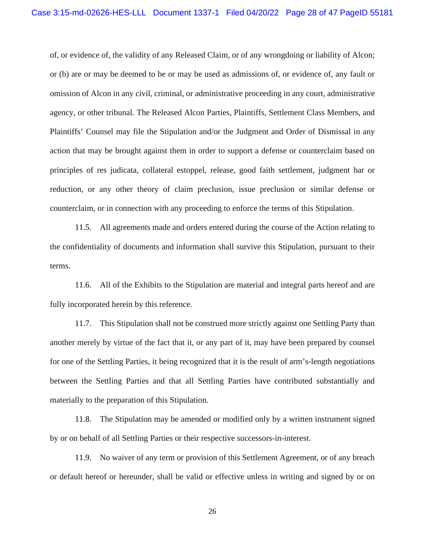of, or evidence of, the validity of any Released Claim, or of any wrongdoing or liability of Alcon; or (b) are or may be deemed to be or may be used as admissions of, or evidence of, any fault or omission of Alcon in any civil, criminal, or administrative proceeding in any court, administrative agency, or other tribunal. The Released Alcon Parties, Plaintiffs, Settlement Class Members, and Plaintiffs' Counsel may file the Stipulation and/or the Judgment and Order of Dismissal in any action that may be brought against them in order to support a defense or counterclaim based on principles of res judicata, collateral estoppel, release, good faith settlement, judgment bar or reduction, or any other theory of claim preclusion, issue preclusion or similar defense or counterclaim, or in connection with any proceeding to enforce the terms of this Stipulation.

11.5. All agreements made and orders entered during the course of the Action relating to the confidentiality of documents and information shall survive this Stipulation, pursuant to their terms.

11.6. All of the Exhibits to the Stipulation are material and integral parts hereof and are fully incorporated herein by this reference.

11.7. This Stipulation shall not be construed more strictly against one Settling Party than another merely by virtue of the fact that it, or any part of it, may have been prepared by counsel for one of the Settling Parties, it being recognized that it is the result of arm's-length negotiations between the Settling Parties and that all Settling Parties have contributed substantially and materially to the preparation of this Stipulation.

11.8. The Stipulation may be amended or modified only by a written instrument signed by or on behalf of all Settling Parties or their respective successors-in-interest.

11.9. No waiver of any term or provision of this Settlement Agreement, or of any breach or default hereof or hereunder, shall be valid or effective unless in writing and signed by or on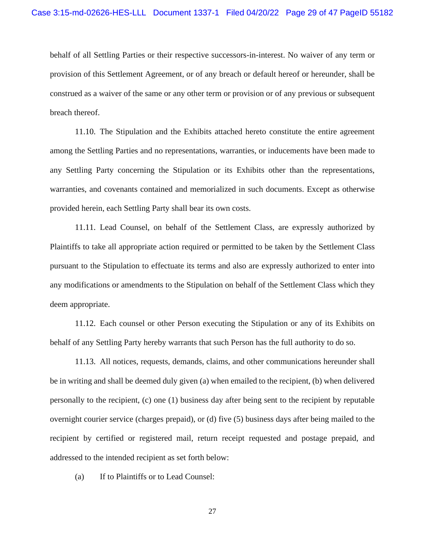behalf of all Settling Parties or their respective successors-in-interest. No waiver of any term or provision of this Settlement Agreement, or of any breach or default hereof or hereunder, shall be construed as a waiver of the same or any other term or provision or of any previous or subsequent breach thereof.

11.10. The Stipulation and the Exhibits attached hereto constitute the entire agreement among the Settling Parties and no representations, warranties, or inducements have been made to any Settling Party concerning the Stipulation or its Exhibits other than the representations, warranties, and covenants contained and memorialized in such documents. Except as otherwise provided herein, each Settling Party shall bear its own costs.

11.11. Lead Counsel, on behalf of the Settlement Class, are expressly authorized by Plaintiffs to take all appropriate action required or permitted to be taken by the Settlement Class pursuant to the Stipulation to effectuate its terms and also are expressly authorized to enter into any modifications or amendments to the Stipulation on behalf of the Settlement Class which they deem appropriate.

11.12. Each counsel or other Person executing the Stipulation or any of its Exhibits on behalf of any Settling Party hereby warrants that such Person has the full authority to do so.

11.13. All notices, requests, demands, claims, and other communications hereunder shall be in writing and shall be deemed duly given (a) when emailed to the recipient, (b) when delivered personally to the recipient, (c) one (1) business day after being sent to the recipient by reputable overnight courier service (charges prepaid), or (d) five (5) business days after being mailed to the recipient by certified or registered mail, return receipt requested and postage prepaid, and addressed to the intended recipient as set forth below:

(a) If to Plaintiffs or to Lead Counsel: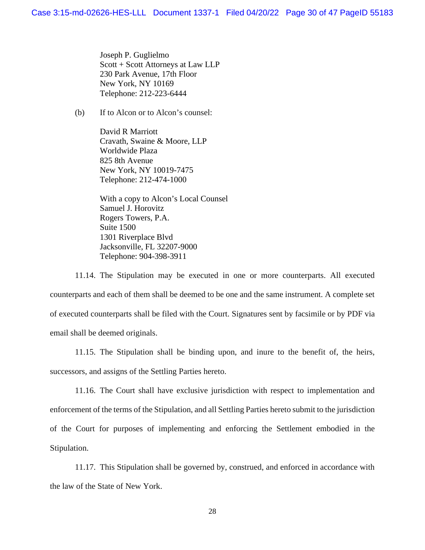Joseph P. Guglielmo Scott + Scott Attorneys at Law LLP 230 Park Avenue, 17th Floor New York, NY 10169 Telephone: 212-223-6444

(b) If to Alcon or to Alcon's counsel:

David R Marriott Cravath, Swaine & Moore, LLP Worldwide Plaza 825 8th Avenue New York, NY 10019-7475 Telephone: 212-474-1000

With a copy to Alcon's Local Counsel Samuel J. Horovitz Rogers Towers, P.A. Suite 1500 1301 Riverplace Blvd Jacksonville, FL 32207-9000 Telephone: 904-398-3911

11.14. The Stipulation may be executed in one or more counterparts. All executed counterparts and each of them shall be deemed to be one and the same instrument. A complete set of executed counterparts shall be filed with the Court. Signatures sent by facsimile or by PDF via email shall be deemed originals.

11.15. The Stipulation shall be binding upon, and inure to the benefit of, the heirs, successors, and assigns of the Settling Parties hereto.

11.16. The Court shall have exclusive jurisdiction with respect to implementation and enforcement of the terms of the Stipulation, and all Settling Parties hereto submit to the jurisdiction of the Court for purposes of implementing and enforcing the Settlement embodied in the Stipulation.

11.17. This Stipulation shall be governed by, construed, and enforced in accordance with the law of the State of New York.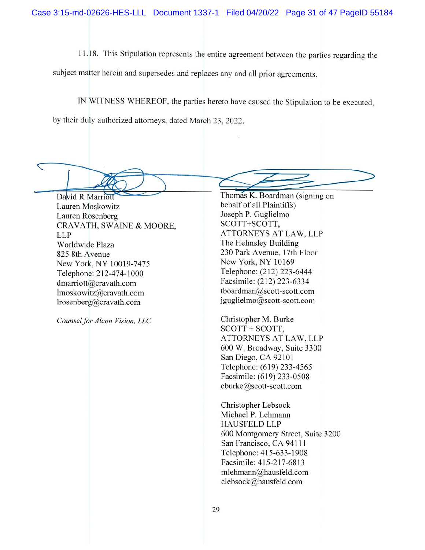11.18. This Stipulation represents the entire agreement between the parties regarding the

subject matter herein and supersedes and replaces any and all prior agreements.

IN WITNESS WHEREOF, the parties hereto have caused the Stipulation to be executed,

by their duly authorized attorneys, dated March 23, 2022.

 $\overline{\phantom{0}}$ 

David R Marriott Lauren Moskowitz Lauren Rosenberg CRAVATH, SWAINE & MOORE, **LLP** Worldwide Plaza 825 8th Avenue New York, NY 10019-7475 Telephone: 212-474-1000 dmarriott@cravath.com lmoskowitz@cravath.com lrosenberg@cravath.com

Counsel for Alcon Vision, LLC

Thomas K. Boardman (signing on behalf of all Plaintiffs) Joseph P. Guglielmo SCOTT+SCOTT. ATTORNEYS AT LAW, LLP The Helmsley Building 230 Park Avenue, 17th Floor New York, NY 10169 Telephone: (212) 223-6444 Facsimile: (212) 223-6334 tboardman@scott-scott.com jguglielmo@scott-scott.com

Christopher M. Burke SCOTT + SCOTT, ATTORNEYS AT LAW, LLP 600 W. Broadway, Suite 3300 San Diego, CA 92101 Telephone: (619) 233-4565 Facsimile: (619) 233-0508 cburke@scott-scott.com

Christopher Lebsock Michael P. Lehmann **HAUSFELD LLP** 600 Montgomery Street, Suite 3200 San Francisco, CA 94111 Telephone: 415-633-1908 Facsimile: 415-217-6813 mlehmann@hausfeld.com clebsock@hausfeld.com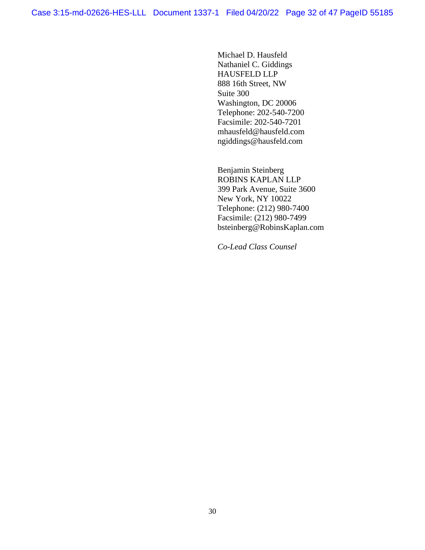Michael D. Hausfeld Nathaniel C. Giddings HAUSFELD LLP 888 16th Street, NW Suite 300 Washington, DC 20006 Telephone: 202-540-7200 Facsimile: 202-540-7201 mhausfeld@hausfeld.com ngiddings@hausfeld.com

Benjamin Steinberg ROBINS KAPLAN LLP 399 Park Avenue, Suite 3600 New York, NY 10022 Telephone: (212) 980-7400 Facsimile: (212) 980-7499 bsteinberg@RobinsKaplan.com

*Co-Lead Class Counsel*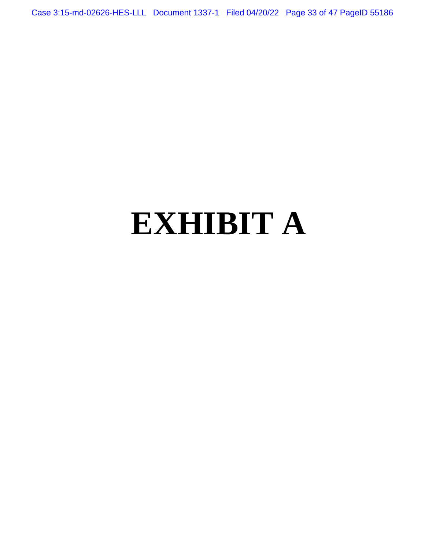Case 3:15-md-02626-HES-LLL Document 1337-1 Filed 04/20/22 Page 33 of 47 PageID 55186

# **EXHIBIT A**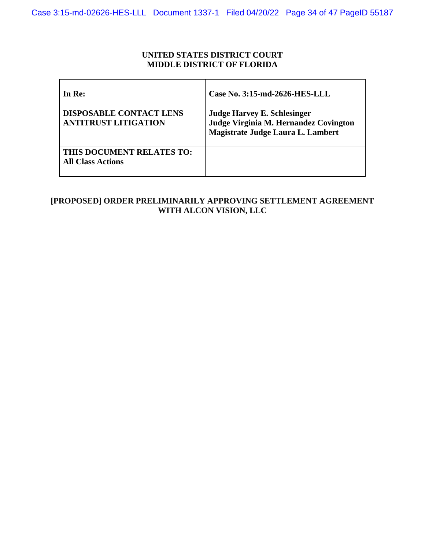### **UNITED STATES DISTRICT COURT MIDDLE DISTRICT OF FLORIDA**

| In Re:                                                        | Case No. 3:15-md-2626-HES-LLL                                                                                    |
|---------------------------------------------------------------|------------------------------------------------------------------------------------------------------------------|
| <b>DISPOSABLE CONTACT LENS</b><br><b>ANTITRUST LITIGATION</b> | <b>Judge Harvey E. Schlesinger</b><br>Judge Virginia M. Hernandez Covington<br>Magistrate Judge Laura L. Lambert |
| THIS DOCUMENT RELATES TO:<br><b>All Class Actions</b>         |                                                                                                                  |

# **[PROPOSED] ORDER PRELIMINARILY APPROVING SETTLEMENT AGREEMENT WITH ALCON VISION, LLC**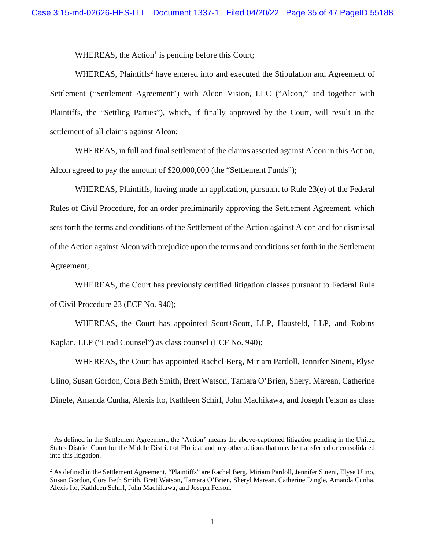WHEREAS, the Action<sup>1</sup> is pending before this Court;

WHEREAS, Plaintiffs<sup>2</sup> have entered into and executed the Stipulation and Agreement of Settlement ("Settlement Agreement") with Alcon Vision, LLC ("Alcon," and together with Plaintiffs, the "Settling Parties"), which, if finally approved by the Court, will result in the settlement of all claims against Alcon;

WHEREAS, in full and final settlement of the claims asserted against Alcon in this Action, Alcon agreed to pay the amount of \$20,000,000 (the "Settlement Funds");

WHEREAS, Plaintiffs, having made an application, pursuant to Rule 23(e) of the Federal Rules of Civil Procedure, for an order preliminarily approving the Settlement Agreement, which sets forth the terms and conditions of the Settlement of the Action against Alcon and for dismissal of the Action against Alcon with prejudice upon the terms and conditions set forth in the Settlement Agreement;

WHEREAS, the Court has previously certified litigation classes pursuant to Federal Rule of Civil Procedure 23 (ECF No. 940);

WHEREAS, the Court has appointed Scott+Scott, LLP, Hausfeld, LLP, and Robins Kaplan, LLP ("Lead Counsel") as class counsel (ECF No. 940);

WHEREAS, the Court has appointed Rachel Berg, Miriam Pardoll, Jennifer Sineni, Elyse Ulino, Susan Gordon, Cora Beth Smith, Brett Watson, Tamara O'Brien, Sheryl Marean, Catherine Dingle, Amanda Cunha, Alexis Ito, Kathleen Schirf, John Machikawa, and Joseph Felson as class

<sup>&</sup>lt;sup>1</sup> As defined in the Settlement Agreement, the "Action" means the above-captioned litigation pending in the United States District Court for the Middle District of Florida, and any other actions that may be transferred or consolidated into this litigation.

<sup>&</sup>lt;sup>2</sup> As defined in the Settlement Agreement, "Plaintiffs" are Rachel Berg, Miriam Pardoll, Jennifer Sineni, Elyse Ulino, Susan Gordon, Cora Beth Smith, Brett Watson, Tamara O'Brien, Sheryl Marean, Catherine Dingle, Amanda Cunha, Alexis Ito, Kathleen Schirf, John Machikawa, and Joseph Felson.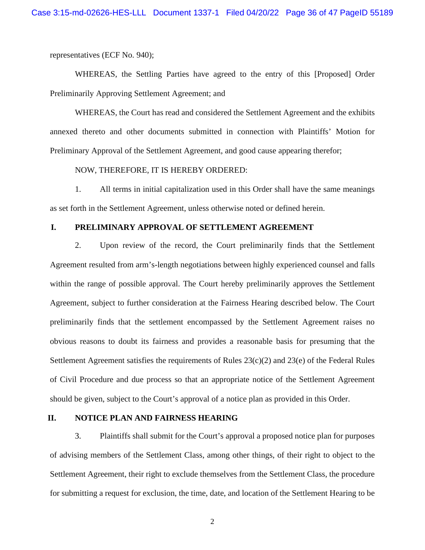representatives (ECF No. 940);

WHEREAS, the Settling Parties have agreed to the entry of this [Proposed] Order Preliminarily Approving Settlement Agreement; and

WHEREAS, the Court has read and considered the Settlement Agreement and the exhibits annexed thereto and other documents submitted in connection with Plaintiffs' Motion for Preliminary Approval of the Settlement Agreement, and good cause appearing therefor;

#### NOW, THEREFORE, IT IS HEREBY ORDERED:

1. All terms in initial capitalization used in this Order shall have the same meanings as set forth in the Settlement Agreement, unless otherwise noted or defined herein.

#### **I. PRELIMINARY APPROVAL OF SETTLEMENT AGREEMENT**

2. Upon review of the record, the Court preliminarily finds that the Settlement Agreement resulted from arm's-length negotiations between highly experienced counsel and falls within the range of possible approval. The Court hereby preliminarily approves the Settlement Agreement, subject to further consideration at the Fairness Hearing described below. The Court preliminarily finds that the settlement encompassed by the Settlement Agreement raises no obvious reasons to doubt its fairness and provides a reasonable basis for presuming that the Settlement Agreement satisfies the requirements of Rules 23(c)(2) and 23(e) of the Federal Rules of Civil Procedure and due process so that an appropriate notice of the Settlement Agreement should be given, subject to the Court's approval of a notice plan as provided in this Order.

#### **II. NOTICE PLAN AND FAIRNESS HEARING**

3. Plaintiffs shall submit for the Court's approval a proposed notice plan for purposes of advising members of the Settlement Class, among other things, of their right to object to the Settlement Agreement, their right to exclude themselves from the Settlement Class, the procedure for submitting a request for exclusion, the time, date, and location of the Settlement Hearing to be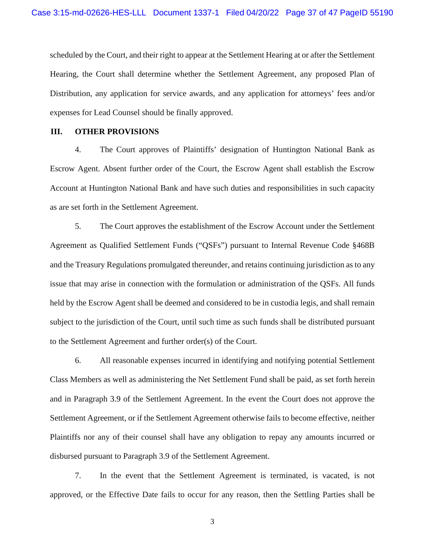scheduled by the Court, and their right to appear at the Settlement Hearing at or after the Settlement Hearing, the Court shall determine whether the Settlement Agreement, any proposed Plan of Distribution, any application for service awards, and any application for attorneys' fees and/or expenses for Lead Counsel should be finally approved.

#### **III. OTHER PROVISIONS**

4. The Court approves of Plaintiffs' designation of Huntington National Bank as Escrow Agent. Absent further order of the Court, the Escrow Agent shall establish the Escrow Account at Huntington National Bank and have such duties and responsibilities in such capacity as are set forth in the Settlement Agreement.

5. The Court approves the establishment of the Escrow Account under the Settlement Agreement as Qualified Settlement Funds ("QSFs") pursuant to Internal Revenue Code §468B and the Treasury Regulations promulgated thereunder, and retains continuing jurisdiction as to any issue that may arise in connection with the formulation or administration of the QSFs. All funds held by the Escrow Agent shall be deemed and considered to be in custodia legis, and shall remain subject to the jurisdiction of the Court, until such time as such funds shall be distributed pursuant to the Settlement Agreement and further order(s) of the Court.

6. All reasonable expenses incurred in identifying and notifying potential Settlement Class Members as well as administering the Net Settlement Fund shall be paid, as set forth herein and in Paragraph 3.9 of the Settlement Agreement. In the event the Court does not approve the Settlement Agreement, or if the Settlement Agreement otherwise fails to become effective, neither Plaintiffs nor any of their counsel shall have any obligation to repay any amounts incurred or disbursed pursuant to Paragraph 3.9 of the Settlement Agreement.

7. In the event that the Settlement Agreement is terminated, is vacated, is not approved, or the Effective Date fails to occur for any reason, then the Settling Parties shall be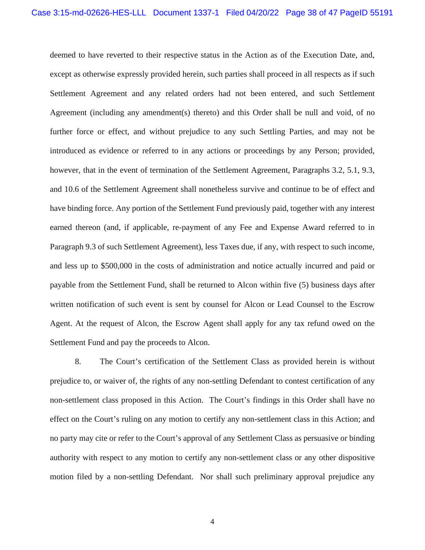deemed to have reverted to their respective status in the Action as of the Execution Date, and, except as otherwise expressly provided herein, such parties shall proceed in all respects as if such Settlement Agreement and any related orders had not been entered, and such Settlement Agreement (including any amendment(s) thereto) and this Order shall be null and void, of no further force or effect, and without prejudice to any such Settling Parties, and may not be introduced as evidence or referred to in any actions or proceedings by any Person; provided, however, that in the event of termination of the Settlement Agreement, Paragraphs 3.2, 5.1, 9.3, and 10.6 of the Settlement Agreement shall nonetheless survive and continue to be of effect and have binding force. Any portion of the Settlement Fund previously paid, together with any interest earned thereon (and, if applicable, re-payment of any Fee and Expense Award referred to in Paragraph 9.3 of such Settlement Agreement), less Taxes due, if any, with respect to such income, and less up to \$500,000 in the costs of administration and notice actually incurred and paid or payable from the Settlement Fund, shall be returned to Alcon within five (5) business days after written notification of such event is sent by counsel for Alcon or Lead Counsel to the Escrow Agent. At the request of Alcon, the Escrow Agent shall apply for any tax refund owed on the Settlement Fund and pay the proceeds to Alcon.

8. The Court's certification of the Settlement Class as provided herein is without prejudice to, or waiver of, the rights of any non-settling Defendant to contest certification of any non-settlement class proposed in this Action. The Court's findings in this Order shall have no effect on the Court's ruling on any motion to certify any non-settlement class in this Action; and no party may cite or refer to the Court's approval of any Settlement Class as persuasive or binding authority with respect to any motion to certify any non-settlement class or any other dispositive motion filed by a non-settling Defendant. Nor shall such preliminary approval prejudice any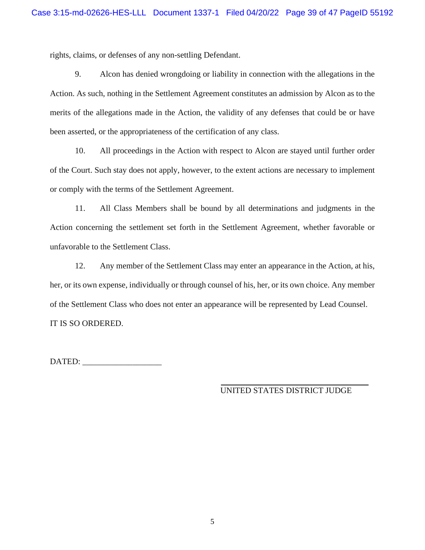rights, claims, or defenses of any non-settling Defendant.

9. Alcon has denied wrongdoing or liability in connection with the allegations in the Action. As such, nothing in the Settlement Agreement constitutes an admission by Alcon as to the merits of the allegations made in the Action, the validity of any defenses that could be or have been asserted, or the appropriateness of the certification of any class.

10. All proceedings in the Action with respect to Alcon are stayed until further order of the Court. Such stay does not apply, however, to the extent actions are necessary to implement or comply with the terms of the Settlement Agreement.

11. All Class Members shall be bound by all determinations and judgments in the Action concerning the settlement set forth in the Settlement Agreement, whether favorable or unfavorable to the Settlement Class.

12. Any member of the Settlement Class may enter an appearance in the Action, at his, her, or its own expense, individually or through counsel of his, her, or its own choice. Any member of the Settlement Class who does not enter an appearance will be represented by Lead Counsel. IT IS SO ORDERED.

DATED: \_\_\_\_\_\_\_\_\_\_\_\_\_\_\_\_\_\_\_

UNITED STATES DISTRICT JUDGE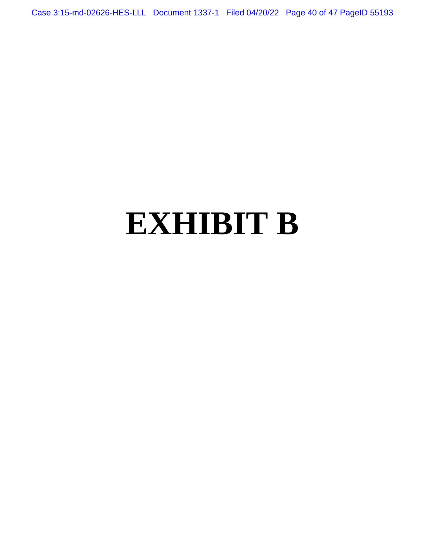Case 3:15-md-02626-HES-LLL Document 1337-1 Filed 04/20/22 Page 40 of 47 PageID 55193

# **EXHIBIT B**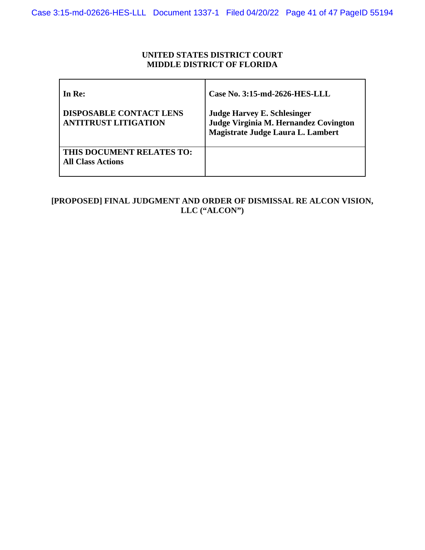### **UNITED STATES DISTRICT COURT MIDDLE DISTRICT OF FLORIDA**

| In Re:                                                        | Case No. 3:15-md-2626-HES-LLL                                                                                    |
|---------------------------------------------------------------|------------------------------------------------------------------------------------------------------------------|
| <b>DISPOSABLE CONTACT LENS</b><br><b>ANTITRUST LITIGATION</b> | <b>Judge Harvey E. Schlesinger</b><br>Judge Virginia M. Hernandez Covington<br>Magistrate Judge Laura L. Lambert |
| THIS DOCUMENT RELATES TO:<br><b>All Class Actions</b>         |                                                                                                                  |

# **[PROPOSED] FINAL JUDGMENT AND ORDER OF DISMISSAL RE ALCON VISION, LLC ("ALCON")**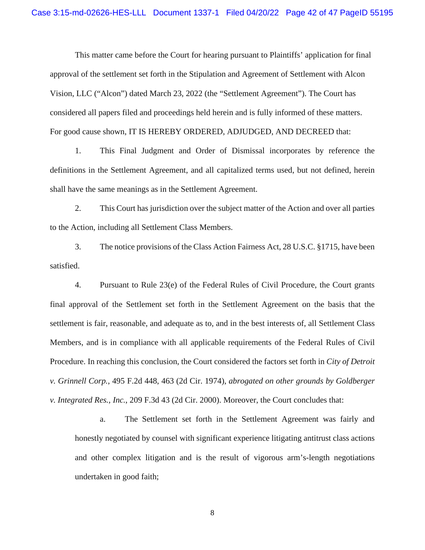This matter came before the Court for hearing pursuant to Plaintiffs' application for final approval of the settlement set forth in the Stipulation and Agreement of Settlement with Alcon Vision, LLC ("Alcon") dated March 23, 2022 (the "Settlement Agreement"). The Court has considered all papers filed and proceedings held herein and is fully informed of these matters. For good cause shown, IT IS HEREBY ORDERED, ADJUDGED, AND DECREED that:

1. This Final Judgment and Order of Dismissal incorporates by reference the definitions in the Settlement Agreement, and all capitalized terms used, but not defined, herein shall have the same meanings as in the Settlement Agreement.

2. This Court has jurisdiction over the subject matter of the Action and over all parties to the Action, including all Settlement Class Members.

3. The notice provisions of the Class Action Fairness Act, 28 U.S.C. §1715, have been satisfied.

4. Pursuant to Rule 23(e) of the Federal Rules of Civil Procedure, the Court grants final approval of the Settlement set forth in the Settlement Agreement on the basis that the settlement is fair, reasonable, and adequate as to, and in the best interests of, all Settlement Class Members, and is in compliance with all applicable requirements of the Federal Rules of Civil Procedure. In reaching this conclusion, the Court considered the factors set forth in *City of Detroit v. Grinnell Corp.*, 495 F.2d 448, 463 (2d Cir. 1974), *abrogated on other grounds by Goldberger v. Integrated Res., Inc.*, 209 F.3d 43 (2d Cir. 2000). Moreover, the Court concludes that:

a. The Settlement set forth in the Settlement Agreement was fairly and honestly negotiated by counsel with significant experience litigating antitrust class actions and other complex litigation and is the result of vigorous arm's-length negotiations undertaken in good faith;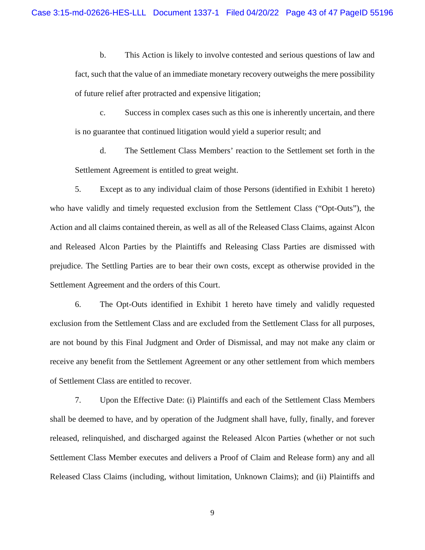b. This Action is likely to involve contested and serious questions of law and fact, such that the value of an immediate monetary recovery outweighs the mere possibility of future relief after protracted and expensive litigation;

c. Success in complex cases such as this one is inherently uncertain, and there is no guarantee that continued litigation would yield a superior result; and

d. The Settlement Class Members' reaction to the Settlement set forth in the Settlement Agreement is entitled to great weight.

5. Except as to any individual claim of those Persons (identified in Exhibit 1 hereto) who have validly and timely requested exclusion from the Settlement Class ("Opt-Outs"), the Action and all claims contained therein, as well as all of the Released Class Claims, against Alcon and Released Alcon Parties by the Plaintiffs and Releasing Class Parties are dismissed with prejudice. The Settling Parties are to bear their own costs, except as otherwise provided in the Settlement Agreement and the orders of this Court.

6. The Opt-Outs identified in Exhibit 1 hereto have timely and validly requested exclusion from the Settlement Class and are excluded from the Settlement Class for all purposes, are not bound by this Final Judgment and Order of Dismissal, and may not make any claim or receive any benefit from the Settlement Agreement or any other settlement from which members of Settlement Class are entitled to recover.

7. Upon the Effective Date: (i) Plaintiffs and each of the Settlement Class Members shall be deemed to have, and by operation of the Judgment shall have, fully, finally, and forever released, relinquished, and discharged against the Released Alcon Parties (whether or not such Settlement Class Member executes and delivers a Proof of Claim and Release form) any and all Released Class Claims (including, without limitation, Unknown Claims); and (ii) Plaintiffs and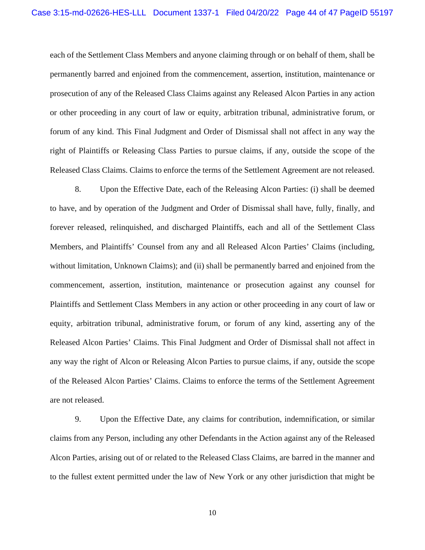each of the Settlement Class Members and anyone claiming through or on behalf of them, shall be permanently barred and enjoined from the commencement, assertion, institution, maintenance or prosecution of any of the Released Class Claims against any Released Alcon Parties in any action or other proceeding in any court of law or equity, arbitration tribunal, administrative forum, or forum of any kind. This Final Judgment and Order of Dismissal shall not affect in any way the right of Plaintiffs or Releasing Class Parties to pursue claims, if any, outside the scope of the Released Class Claims. Claims to enforce the terms of the Settlement Agreement are not released.

8. Upon the Effective Date, each of the Releasing Alcon Parties: (i) shall be deemed to have, and by operation of the Judgment and Order of Dismissal shall have, fully, finally, and forever released, relinquished, and discharged Plaintiffs, each and all of the Settlement Class Members, and Plaintiffs' Counsel from any and all Released Alcon Parties' Claims (including, without limitation, Unknown Claims); and (ii) shall be permanently barred and enjoined from the commencement, assertion, institution, maintenance or prosecution against any counsel for Plaintiffs and Settlement Class Members in any action or other proceeding in any court of law or equity, arbitration tribunal, administrative forum, or forum of any kind, asserting any of the Released Alcon Parties' Claims. This Final Judgment and Order of Dismissal shall not affect in any way the right of Alcon or Releasing Alcon Parties to pursue claims, if any, outside the scope of the Released Alcon Parties' Claims. Claims to enforce the terms of the Settlement Agreement are not released.

9. Upon the Effective Date, any claims for contribution, indemnification, or similar claims from any Person, including any other Defendants in the Action against any of the Released Alcon Parties, arising out of or related to the Released Class Claims, are barred in the manner and to the fullest extent permitted under the law of New York or any other jurisdiction that might be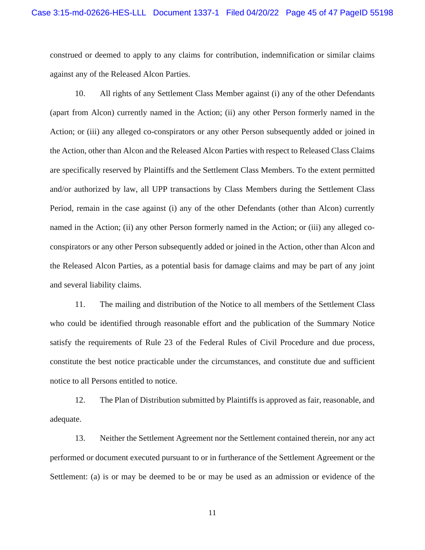construed or deemed to apply to any claims for contribution, indemnification or similar claims against any of the Released Alcon Parties.

10. All rights of any Settlement Class Member against (i) any of the other Defendants (apart from Alcon) currently named in the Action; (ii) any other Person formerly named in the Action; or (iii) any alleged co-conspirators or any other Person subsequently added or joined in the Action, other than Alcon and the Released Alcon Parties with respect to Released Class Claims are specifically reserved by Plaintiffs and the Settlement Class Members. To the extent permitted and/or authorized by law, all UPP transactions by Class Members during the Settlement Class Period, remain in the case against (i) any of the other Defendants (other than Alcon) currently named in the Action; (ii) any other Person formerly named in the Action; or (iii) any alleged coconspirators or any other Person subsequently added or joined in the Action, other than Alcon and the Released Alcon Parties, as a potential basis for damage claims and may be part of any joint and several liability claims.

11. The mailing and distribution of the Notice to all members of the Settlement Class who could be identified through reasonable effort and the publication of the Summary Notice satisfy the requirements of Rule 23 of the Federal Rules of Civil Procedure and due process, constitute the best notice practicable under the circumstances, and constitute due and sufficient notice to all Persons entitled to notice.

12. The Plan of Distribution submitted by Plaintiffs is approved as fair, reasonable, and adequate.

13. Neither the Settlement Agreement nor the Settlement contained therein, nor any act performed or document executed pursuant to or in furtherance of the Settlement Agreement or the Settlement: (a) is or may be deemed to be or may be used as an admission or evidence of the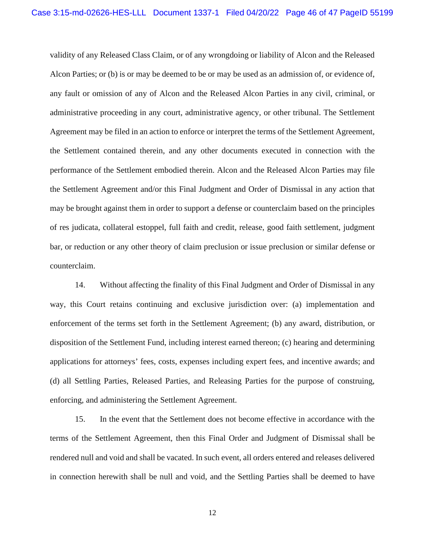validity of any Released Class Claim, or of any wrongdoing or liability of Alcon and the Released Alcon Parties; or (b) is or may be deemed to be or may be used as an admission of, or evidence of, any fault or omission of any of Alcon and the Released Alcon Parties in any civil, criminal, or administrative proceeding in any court, administrative agency, or other tribunal. The Settlement Agreement may be filed in an action to enforce or interpret the terms of the Settlement Agreement, the Settlement contained therein, and any other documents executed in connection with the performance of the Settlement embodied therein. Alcon and the Released Alcon Parties may file the Settlement Agreement and/or this Final Judgment and Order of Dismissal in any action that may be brought against them in order to support a defense or counterclaim based on the principles of res judicata, collateral estoppel, full faith and credit, release, good faith settlement, judgment bar, or reduction or any other theory of claim preclusion or issue preclusion or similar defense or counterclaim.

14. Without affecting the finality of this Final Judgment and Order of Dismissal in any way, this Court retains continuing and exclusive jurisdiction over: (a) implementation and enforcement of the terms set forth in the Settlement Agreement; (b) any award, distribution, or disposition of the Settlement Fund, including interest earned thereon; (c) hearing and determining applications for attorneys' fees, costs, expenses including expert fees, and incentive awards; and (d) all Settling Parties, Released Parties, and Releasing Parties for the purpose of construing, enforcing, and administering the Settlement Agreement.

15. In the event that the Settlement does not become effective in accordance with the terms of the Settlement Agreement, then this Final Order and Judgment of Dismissal shall be rendered null and void and shall be vacated. In such event, all orders entered and releases delivered in connection herewith shall be null and void, and the Settling Parties shall be deemed to have